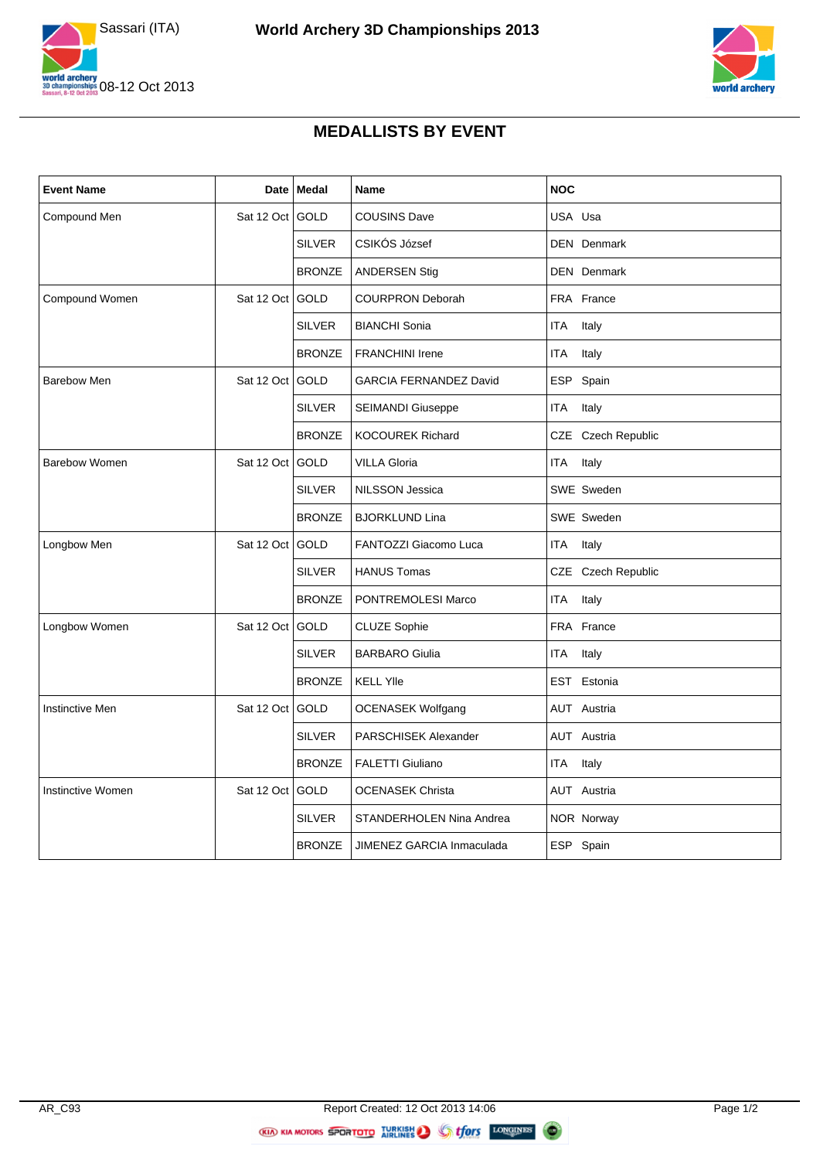



## **MEDALLISTS BY EVENT**

| <b>Event Name</b>      | Date            | <b>Medal</b>  | Name                          | <b>NOC</b>          |
|------------------------|-----------------|---------------|-------------------------------|---------------------|
| Compound Men           | Sat 12 Oct      | <b>GOLD</b>   | <b>COUSINS Dave</b>           | USA Usa             |
|                        |                 | <b>SILVER</b> | CSIKÓS József                 | <b>DEN</b> Denmark  |
|                        |                 | <b>BRONZE</b> | <b>ANDERSEN Stig</b>          | <b>DEN</b> Denmark  |
| <b>Compound Women</b>  | Sat 12 Oct      | <b>GOLD</b>   | <b>COURPRON Deborah</b>       | FRA France          |
|                        |                 | <b>SILVER</b> | <b>BIANCHI Sonia</b>          | <b>ITA</b><br>Italy |
|                        |                 | <b>BRONZE</b> | <b>FRANCHINI Irene</b>        | <b>ITA</b><br>Italy |
| <b>Barebow Men</b>     | Sat 12 Oct      | GOLD          | <b>GARCIA FERNANDEZ David</b> | ESP Spain           |
|                        |                 | <b>SILVER</b> | SEIMANDI Giuseppe             | <b>ITA</b><br>Italy |
|                        |                 | <b>BRONZE</b> | <b>KOCOUREK Richard</b>       | CZE Czech Republic  |
| <b>Barebow Women</b>   | Sat 12 Oct GOLD |               | <b>VILLA Gloria</b>           | <b>ITA</b><br>Italy |
|                        |                 | <b>SILVER</b> | <b>NILSSON Jessica</b>        | SWE Sweden          |
|                        |                 | <b>BRONZE</b> | <b>BJORKLUND Lina</b>         | SWE Sweden          |
| Longbow Men            | Sat 12 Oct      | GOLD          | FANTOZZI Giacomo Luca         | <b>ITA</b><br>Italy |
|                        |                 | <b>SILVER</b> | <b>HANUS Tomas</b>            | CZE Czech Republic  |
|                        |                 | <b>BRONZE</b> | PONTREMOLESI Marco            | <b>ITA</b><br>Italy |
| Longbow Women          | Sat 12 Oct      | GOLD          | <b>CLUZE Sophie</b>           | FRA France          |
|                        |                 | <b>SILVER</b> | <b>BARBARO Giulia</b>         | ITA<br>Italy        |
|                        |                 | <b>BRONZE</b> | <b>KELL YIIe</b>              | EST Estonia         |
| <b>Instinctive Men</b> | Sat 12 Oct      | GOLD          | <b>OCENASEK Wolfgang</b>      | <b>AUT</b> Austria  |
|                        |                 | <b>SILVER</b> | PARSCHISEK Alexander          | AUT Austria         |
|                        |                 | <b>BRONZE</b> | FALETTI Giuliano              | ITA<br>Italy        |
| Instinctive Women      | Sat 12 Oct      | GOLD          | <b>OCENASEK Christa</b>       | AUT Austria         |
|                        |                 | <b>SILVER</b> | STANDERHOLEN Nina Andrea      | NOR Norway          |
|                        |                 | <b>BRONZE</b> | JIMENEZ GARCIA Inmaculada     | ESP Spain           |